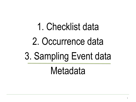# 1. Checklist data 2. Occurrence data 3. Sampling Event data Metadata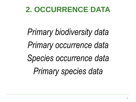## **2. OCCURRENCE DATA**

*Primary biodiversity data Primary occurrence data Species occurrence data Primary species data*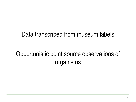#### Data transcribed from museum labels

### Opportunistic point source observations of organisms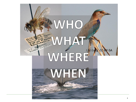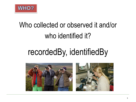

## Who collected or observed it and/or who identified it?

# recordedBy, identifiedBy

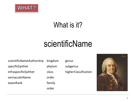

## What is it?

## scientificName

scientificNameAuthorship kingdom genus specificEpithet phylum subgenus infraspecificEpithet class higherClassification vernacularName order taxonRank family

order

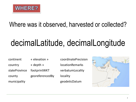

#### Where was it observed, harvested or collected?

# decimalLatitude, decimalLongitude

continent « elevation » coordinatePrecision

country « depth » locationRemarks county georeferencedBy locality

stateProvince footprintWKT verbatumLocality municipality geodeticDatum

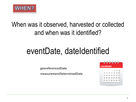

### When was it observed, harvested or collected and when was it identified?

# eventDate, dateIdentified

georeferencedDate

measurementDeterminedDate

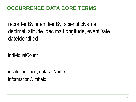#### **OCCURRENCE DATA CORE TERMS**

recordedBy, identifiedBy, scientificName, decimalLatitude, decimalLongitude, eventDate, dateIdentified

individualCount

institutionCode, datasetName informationWithheld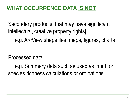#### **WHAT OCCURRENCE DATA IS NOT**

Secondary products [that may have significant intellectual, creative property rights]

e.g. ArcView shapefiles, maps, figures, charts

Processed data

e.g. Summary data such as used as input for species richness calculations or ordinations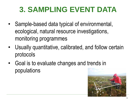## **3. SAMPLING EVENT DATA**

- Sample-based data typical of environmental, ecological, natural resource investigations, monitoring programmes
- Usually quantitative, calibrated, and follow certain protocols
- Goal is to evaluate changes and trends in populations

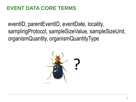#### **EVENT DATA CORE TERMS**

eventID, parentEventID, eventDate, locality, samplingProtocol, sampleSizeValue, sampleSizeUnit, organismQuantity, organismQuantityType

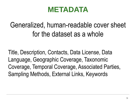## **METADATA**

Generalized, human-readable cover sheet for the dataset as a whole

Title, Description, Contacts, Data License, Data Language, Geographic Coverage, Taxonomic Coverage, Temporal Coverage, Associated Parties, Sampling Methods, External Links, Keywords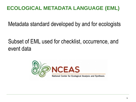#### **ECOLOGICAL METADATA LANGUAGE (EML)**

Metadata standard developed by and for ecologists

Subset of EML used for checklist, occurrence, and event data

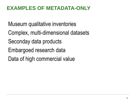#### **EXAMPLES OF METADATA-ONLY**

Museum qualitative inventories

- Complex, multi-dimensional datasets
- Seconday data products
- Embargoed research data
- Data of high commercial value